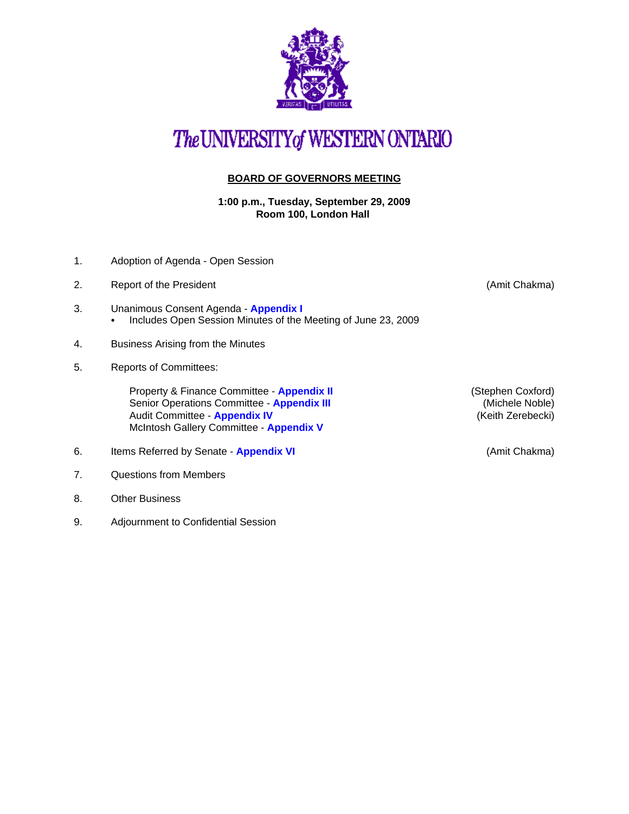

## The UNIVERSITY of WESTERN ONTARIO

## **BOARD OF GOVERNORS MEETING**

**1:00 p.m., Tuesday, September 29, 2009 Room 100, London Hall** 

- 1. Adoption of Agenda Open Session
- 2. Report of the President (Amit Chakma)
- 3. Unanimous Consent Agenda **[Appendix I](http://www.uwo.ca/univsec/board/minutes/2009/r0909consent.pdf)**  • Includes Open Session Minutes of the Meeting of June 23, 2009
- 4. Business Arising from the Minutes
- 5. Reports of Committees:

Property & Finance Committee - **[Appendix II](http://www.uwo.ca/univsec/board/minutes/2009/r0909pf.pdf)** (Stephen Coxford) Senior Operations Committee - **[Appendix III](http://www.uwo.ca/univsec/board/minutes/2009/r0909srops.pdf)** (Michele Noble) Audit Committee - **[Appendix IV](http://www.uwo.ca/univsec/board/minutes/2009/r0909audit.pdf) Audit Committee - Appendix IV (Keith Zerebecki)** McIntosh Gallery Committee - **[Appendix V](http://www.uwo.ca/univsec/board/minutes/2009/r0909mcg.pdf)**

- 6. Items Referred by Senate **[Appendix VI](http://www.uwo.ca/univsec/board/minutes/2009/r0909sen.pdf)** (Amit Chakma)
- 7. Questions from Members
- 8. Other Business
- 9. Adjournment to Confidential Session